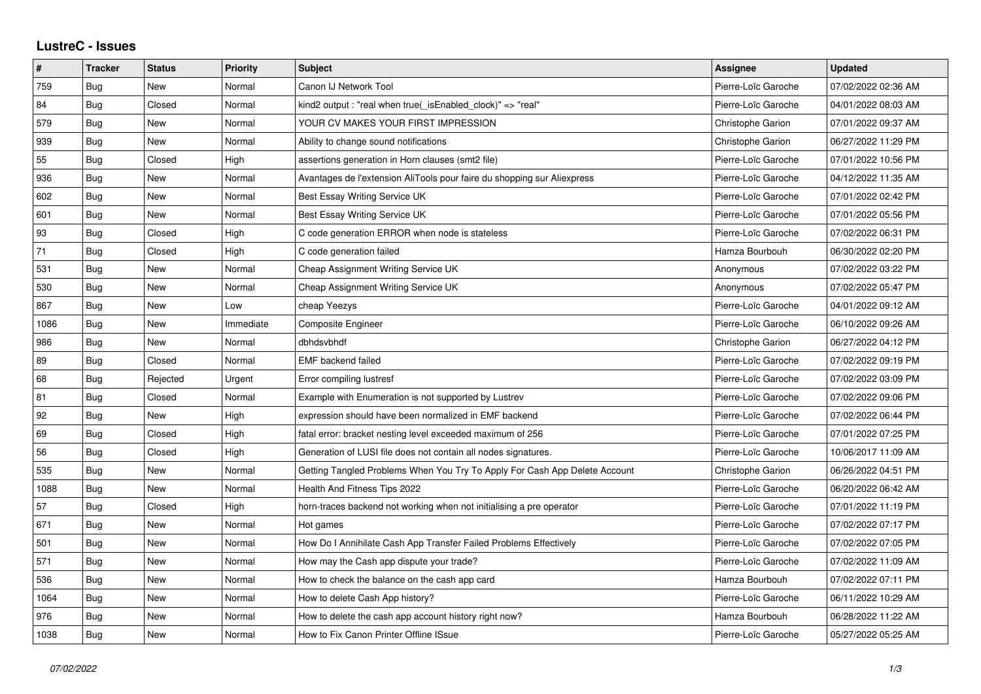## **LustreC - Issues**

| #    | <b>Tracker</b> | <b>Status</b> | <b>Priority</b> | Subject                                                                    | <b>Assignee</b>          | <b>Updated</b>      |
|------|----------------|---------------|-----------------|----------------------------------------------------------------------------|--------------------------|---------------------|
| 759  | Bug            | New           | Normal          | Canon IJ Network Tool                                                      | Pierre-Loïc Garoche      | 07/02/2022 02:36 AM |
| 84   | Bug            | Closed        | Normal          | kind2 output : "real when true(_isEnabled_clock)" => "real"                | Pierre-Loïc Garoche      | 04/01/2022 08:03 AM |
| 579  | <b>Bug</b>     | New           | Normal          | YOUR CV MAKES YOUR FIRST IMPRESSION                                        | Christophe Garion        | 07/01/2022 09:37 AM |
| 939  | Bug            | <b>New</b>    | Normal          | Ability to change sound notifications                                      | <b>Christophe Garion</b> | 06/27/2022 11:29 PM |
| 55   | <b>Bug</b>     | Closed        | High            | assertions generation in Horn clauses (smt2 file)                          | Pierre-Loïc Garoche      | 07/01/2022 10:56 PM |
| 936  | Bug            | New           | Normal          | Avantages de l'extension AliTools pour faire du shopping sur Aliexpress    | Pierre-Loïc Garoche      | 04/12/2022 11:35 AM |
| 602  | Bug            | <b>New</b>    | Normal          | Best Essay Writing Service UK                                              | Pierre-Loïc Garoche      | 07/01/2022 02:42 PM |
| 601  | Bug            | New           | Normal          | Best Essay Writing Service UK                                              | Pierre-Loïc Garoche      | 07/01/2022 05:56 PM |
| 93   | Bug            | Closed        | High            | C code generation ERROR when node is stateless                             | Pierre-Loïc Garoche      | 07/02/2022 06:31 PM |
| 71   | Bug            | Closed        | High            | C code generation failed                                                   | Hamza Bourbouh           | 06/30/2022 02:20 PM |
| 531  | Bug            | New           | Normal          | Cheap Assignment Writing Service UK                                        | Anonymous                | 07/02/2022 03:22 PM |
| 530  | Bug            | New           | Normal          | Cheap Assignment Writing Service UK                                        | Anonymous                | 07/02/2022 05:47 PM |
| 867  | <b>Bug</b>     | New           | Low             | cheap Yeezys                                                               | Pierre-Loïc Garoche      | 04/01/2022 09:12 AM |
| 1086 | Bug            | New           | Immediate       | <b>Composite Engineer</b>                                                  | Pierre-Loïc Garoche      | 06/10/2022 09:26 AM |
| 986  | <b>Bug</b>     | <b>New</b>    | Normal          | dbhdsvbhdf                                                                 | Christophe Garion        | 06/27/2022 04:12 PM |
| 89   | <b>Bug</b>     | Closed        | Normal          | <b>EMF</b> backend failed                                                  | Pierre-Loïc Garoche      | 07/02/2022 09:19 PM |
| 68   | Bug            | Rejected      | Urgent          | Error compiling lustresf                                                   | Pierre-Loïc Garoche      | 07/02/2022 03:09 PM |
| 81   | <b>Bug</b>     | Closed        | Normal          | Example with Enumeration is not supported by Lustrev                       | Pierre-Loïc Garoche      | 07/02/2022 09:06 PM |
| 92   | Bug            | New           | High            | expression should have been normalized in EMF backend                      | Pierre-Loïc Garoche      | 07/02/2022 06:44 PM |
| 69   | Bug            | Closed        | High            | fatal error: bracket nesting level exceeded maximum of 256                 | Pierre-Loïc Garoche      | 07/01/2022 07:25 PM |
| 56   | Bug            | Closed        | High            | Generation of LUSI file does not contain all nodes signatures.             | Pierre-Loïc Garoche      | 10/06/2017 11:09 AM |
| 535  | <b>Bug</b>     | New           | Normal          | Getting Tangled Problems When You Try To Apply For Cash App Delete Account | Christophe Garion        | 06/26/2022 04:51 PM |
| 1088 | Bug            | New           | Normal          | Health And Fitness Tips 2022                                               | Pierre-Loïc Garoche      | 06/20/2022 06:42 AM |
| 57   | <b>Bug</b>     | Closed        | High            | horn-traces backend not working when not initialising a pre operator       | Pierre-Loïc Garoche      | 07/01/2022 11:19 PM |
| 671  | Bug            | New           | Normal          | Hot games                                                                  | Pierre-Loïc Garoche      | 07/02/2022 07:17 PM |
| 501  | <b>Bug</b>     | New           | Normal          | How Do I Annihilate Cash App Transfer Failed Problems Effectively          | Pierre-Loïc Garoche      | 07/02/2022 07:05 PM |
| 571  | Bug            | New           | Normal          | How may the Cash app dispute your trade?                                   | Pierre-Loïc Garoche      | 07/02/2022 11:09 AM |
| 536  | Bug            | <b>New</b>    | Normal          | How to check the balance on the cash app card                              | Hamza Bourbouh           | 07/02/2022 07:11 PM |
| 1064 | Bug            | New           | Normal          | How to delete Cash App history?                                            | Pierre-Loïc Garoche      | 06/11/2022 10:29 AM |
| 976  | Bug            | New           | Normal          | How to delete the cash app account history right now?                      | Hamza Bourbouh           | 06/28/2022 11:22 AM |
| 1038 | Bug            | New           | Normal          | How to Fix Canon Printer Offline ISsue                                     | Pierre-Loïc Garoche      | 05/27/2022 05:25 AM |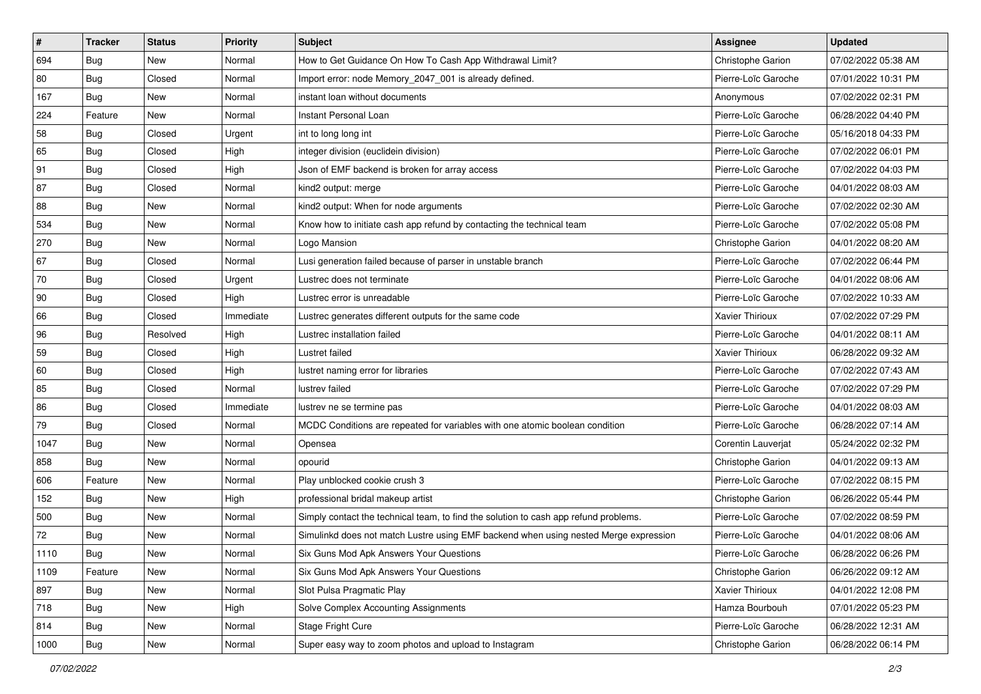| $\sharp$     | <b>Tracker</b> | <b>Status</b> | Priority  | Subject                                                                              | <b>Assignee</b>          | <b>Updated</b>      |
|--------------|----------------|---------------|-----------|--------------------------------------------------------------------------------------|--------------------------|---------------------|
| 694          | Bug            | New           | Normal    | How to Get Guidance On How To Cash App Withdrawal Limit?                             | Christophe Garion        | 07/02/2022 05:38 AM |
| 80           | Bug            | Closed        | Normal    | Import error: node Memory_2047_001 is already defined.                               | Pierre-Loïc Garoche      | 07/01/2022 10:31 PM |
| 167          | Bug            | New           | Normal    | instant loan without documents                                                       | Anonymous                | 07/02/2022 02:31 PM |
| 224          | Feature        | <b>New</b>    | Normal    | Instant Personal Loan                                                                | Pierre-Loïc Garoche      | 06/28/2022 04:40 PM |
| 58           | Bug            | Closed        | Urgent    | int to long long int                                                                 | Pierre-Loïc Garoche      | 05/16/2018 04:33 PM |
| 65           | Bug            | Closed        | High      | integer division (euclidein division)                                                | Pierre-Loïc Garoche      | 07/02/2022 06:01 PM |
| 91           | Bug            | Closed        | High      | Json of EMF backend is broken for array access                                       | Pierre-Loïc Garoche      | 07/02/2022 04:03 PM |
| 87           | Bug            | Closed        | Normal    | kind2 output: merge                                                                  | Pierre-Loïc Garoche      | 04/01/2022 08:03 AM |
| 88           | Bug            | New           | Normal    | kind2 output: When for node arguments                                                | Pierre-Loïc Garoche      | 07/02/2022 02:30 AM |
| 534          | Bug            | <b>New</b>    | Normal    | Know how to initiate cash app refund by contacting the technical team                | Pierre-Loïc Garoche      | 07/02/2022 05:08 PM |
| 270          | <b>Bug</b>     | New           | Normal    | Logo Mansion                                                                         | Christophe Garion        | 04/01/2022 08:20 AM |
| 67           | Bug            | Closed        | Normal    | Lusi generation failed because of parser in unstable branch                          | Pierre-Loïc Garoche      | 07/02/2022 06:44 PM |
| 70           | Bug            | Closed        | Urgent    | Lustrec does not terminate                                                           | Pierre-Loïc Garoche      | 04/01/2022 08:06 AM |
| $ 90\rangle$ | Bug            | Closed        | High      | Lustrec error is unreadable                                                          | Pierre-Loïc Garoche      | 07/02/2022 10:33 AM |
| 66           | Bug            | Closed        | Immediate | Lustrec generates different outputs for the same code                                | <b>Xavier Thirioux</b>   | 07/02/2022 07:29 PM |
| 96           | Bug            | Resolved      | High      | Lustrec installation failed                                                          | Pierre-Loïc Garoche      | 04/01/2022 08:11 AM |
| 59           | Bug            | Closed        | High      | Lustret failed                                                                       | Xavier Thirioux          | 06/28/2022 09:32 AM |
| 60           | Bug            | Closed        | High      | lustret naming error for libraries                                                   | Pierre-Loïc Garoche      | 07/02/2022 07:43 AM |
| 85           | <b>Bug</b>     | Closed        | Normal    | lustrev failed                                                                       | Pierre-Loïc Garoche      | 07/02/2022 07:29 PM |
| 86           | Bug            | Closed        | Immediate | lustrev ne se termine pas                                                            | Pierre-Loïc Garoche      | 04/01/2022 08:03 AM |
| 79           | Bug            | Closed        | Normal    | MCDC Conditions are repeated for variables with one atomic boolean condition         | Pierre-Loïc Garoche      | 06/28/2022 07:14 AM |
| 1047         | Bug            | New           | Normal    | Opensea                                                                              | Corentin Lauverjat       | 05/24/2022 02:32 PM |
| 858          | Bug            | <b>New</b>    | Normal    | opourid                                                                              | Christophe Garion        | 04/01/2022 09:13 AM |
| 606          | Feature        | New           | Normal    | Play unblocked cookie crush 3                                                        | Pierre-Loïc Garoche      | 07/02/2022 08:15 PM |
| 152          | Bug            | New           | High      | professional bridal makeup artist                                                    | Christophe Garion        | 06/26/2022 05:44 PM |
| 500          | Bug            | <b>New</b>    | Normal    | Simply contact the technical team, to find the solution to cash app refund problems. | Pierre-Loïc Garoche      | 07/02/2022 08:59 PM |
| 72           | Bug            | New           | Normal    | Simulinkd does not match Lustre using EMF backend when using nested Merge expression | Pierre-Loïc Garoche      | 04/01/2022 08:06 AM |
| 1110         | Bug            | New           | Normal    | Six Guns Mod Apk Answers Your Questions                                              | Pierre-Loïc Garoche      | 06/28/2022 06:26 PM |
| 1109         | Feature        | New           | Normal    | Six Guns Mod Apk Answers Your Questions                                              | <b>Christophe Garion</b> | 06/26/2022 09:12 AM |
| 897          | Bug            | New           | Normal    | Slot Pulsa Pragmatic Play                                                            | Xavier Thirioux          | 04/01/2022 12:08 PM |
| 718          | Bug            | New           | High      | Solve Complex Accounting Assignments                                                 | Hamza Bourbouh           | 07/01/2022 05:23 PM |
| 814          | Bug            | New           | Normal    | Stage Fright Cure                                                                    | Pierre-Loïc Garoche      | 06/28/2022 12:31 AM |
| 1000         | <b>Bug</b>     | New           | Normal    | Super easy way to zoom photos and upload to Instagram                                | Christophe Garion        | 06/28/2022 06:14 PM |